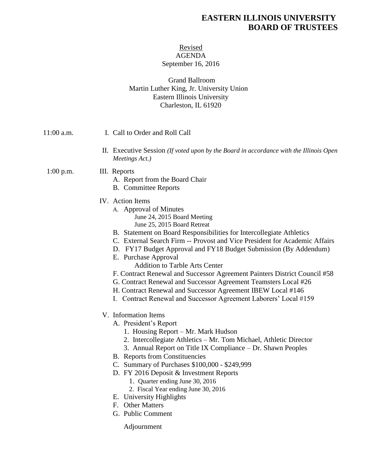# **EASTERN ILLINOIS UNIVERSITY BOARD OF TRUSTEES**

## Revised AGENDA September 16, 2016

## Grand Ballroom Martin Luther King, Jr. University Union Eastern Illinois University Charleston, IL 61920

| 11:00 a.m.  | I. Call to Order and Roll Call                                                                                                                                                                                                                                                                                                                                                                                                                                                                                                                                                                                                                                                         |
|-------------|----------------------------------------------------------------------------------------------------------------------------------------------------------------------------------------------------------------------------------------------------------------------------------------------------------------------------------------------------------------------------------------------------------------------------------------------------------------------------------------------------------------------------------------------------------------------------------------------------------------------------------------------------------------------------------------|
|             | II. Executive Session (If voted upon by the Board in accordance with the Illinois Open<br>Meetings Act.)                                                                                                                                                                                                                                                                                                                                                                                                                                                                                                                                                                               |
| $1:00$ p.m. | III. Reports<br>A. Report from the Board Chair<br><b>B.</b> Committee Reports                                                                                                                                                                                                                                                                                                                                                                                                                                                                                                                                                                                                          |
|             | IV. Action Items<br>A. Approval of Minutes<br>June 24, 2015 Board Meeting<br>June 25, 2015 Board Retreat<br>B. Statement on Board Responsibilities for Intercollegiate Athletics<br>C. External Search Firm -- Provost and Vice President for Academic Affairs<br>D. FY17 Budget Approval and FY18 Budget Submission (By Addendum)<br>E. Purchase Approval<br><b>Addition to Tarble Arts Center</b><br>F. Contract Renewal and Successor Agreement Painters District Council #58<br>G. Contract Renewal and Successor Agreement Teamsters Local #26<br>H. Contract Renewal and Successor Agreement IBEW Local #146<br>I. Contract Renewal and Successor Agreement Laborers' Local #159 |
|             | V. Information Items<br>A. President's Report<br>1. Housing Report – Mr. Mark Hudson<br>2. Intercollegiate Athletics - Mr. Tom Michael, Athletic Director<br>3. Annual Report on Title IX Compliance – Dr. Shawn Peoples<br><b>B.</b> Reports from Constituencies<br>C. Summary of Purchases \$100,000 - \$249,999<br>D. FY 2016 Deposit & Investment Reports<br>1. Quarter ending June 30, 2016<br>2. Fiscal Year ending June 30, 2016<br>E. University Highlights<br>F. Other Matters<br>G. Public Comment                                                                                                                                                                           |

Adjournment